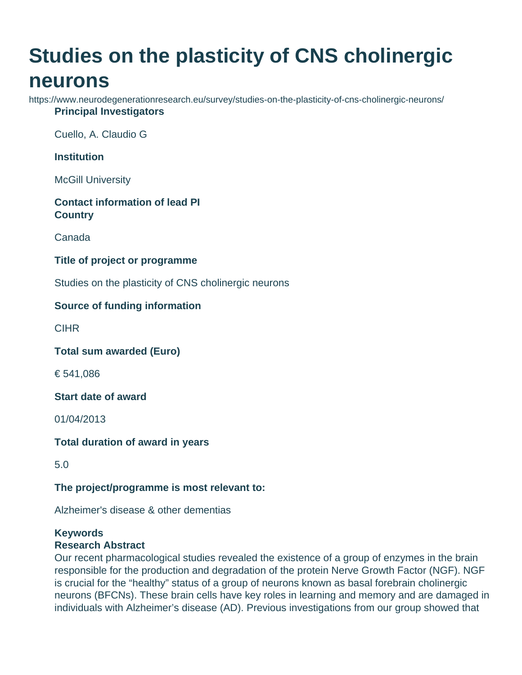# **Studies on the plasticity of CNS cholinergic neurons**

https://www.neurodegenerationresearch.eu/survey/studies-on-the-plasticity-of-cns-cholinergic-neurons/ **Principal Investigators**

Cuello, A. Claudio G

**Institution**

McGill University

## **Contact information of lead PI Country**

Canada

### **Title of project or programme**

Studies on the plasticity of CNS cholinergic neurons

## **Source of funding information**

**CIHR** 

**Total sum awarded (Euro)**

€ 541,086

**Start date of award**

01/04/2013

#### **Total duration of award in years**

5.0

#### **The project/programme is most relevant to:**

Alzheimer's disease & other dementias

#### **Keywords**

#### **Research Abstract**

Our recent pharmacological studies revealed the existence of a group of enzymes in the brain responsible for the production and degradation of the protein Nerve Growth Factor (NGF). NGF is crucial for the "healthy" status of a group of neurons known as basal forebrain cholinergic neurons (BFCNs). These brain cells have key roles in learning and memory and are damaged in individuals with Alzheimer's disease (AD). Previous investigations from our group showed that